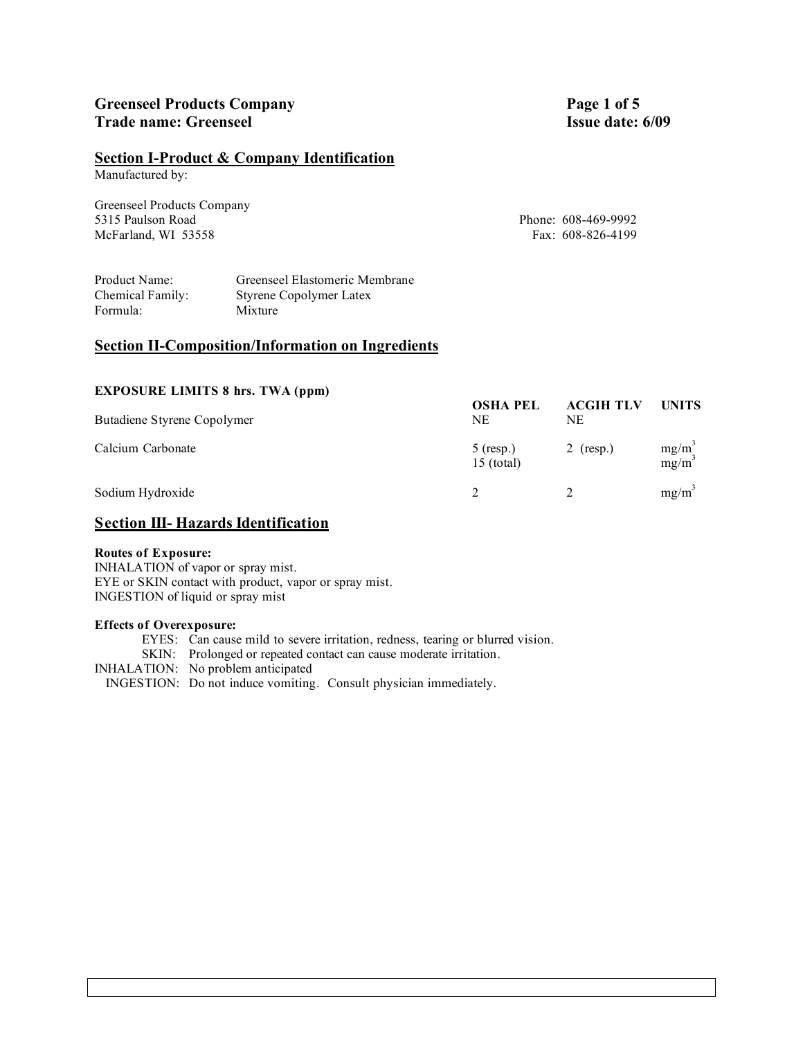## **Greenseel Products Company Page 1 of 5 Trade name: Greenseel Issue date: 6/09**

## **Section I-Product & Company Identification**

Manufactured by:

Greenseel Products Company 5315 Paulson Road Phone: 608-469-9992 McFarland, WI 53558 Fax: 608-826-4199

| Product Name:    | Greenseel Elastomeric Membrane |
|------------------|--------------------------------|
| Chemical Family: | Styrene Copolymer Latex        |
| Formula:         | Mixture                        |

## **Section II-Composition/Information on Ingredients**

| <b>EXPOSURE LIMITS 8 hrs. TWA (ppm)</b> |                             |                        |                               |
|-----------------------------------------|-----------------------------|------------------------|-------------------------------|
| Butadiene Styrene Copolymer             | <b>OSHA PEL</b><br>NE       | <b>ACGIH TLV</b><br>NE | <b>UNITS</b>                  |
| Calcium Carbonate                       | $5$ (resp.)<br>$15$ (total) | 2 (resp.)              | $mg/m^3$<br>mg/m <sup>3</sup> |
| Sodium Hydroxide                        |                             |                        | $mg/m^3$                      |

## **Section III- Hazards Identification**

#### **Routes of Exposure:**

INHALATION of vapor or spray mist. EYE or SKIN contact with product, vapor or spray mist. INGESTION of liquid or spray mist

#### **Effects of Overexposure:**

EYES: Can cause mild to severe irritation, redness, tearing or blurred vision. SKIN: Prolonged or repeated contact can cause moderate irritation. INHALATION: No problem anticipated INGESTION: Do not induce vomiting. Consult physician immediately.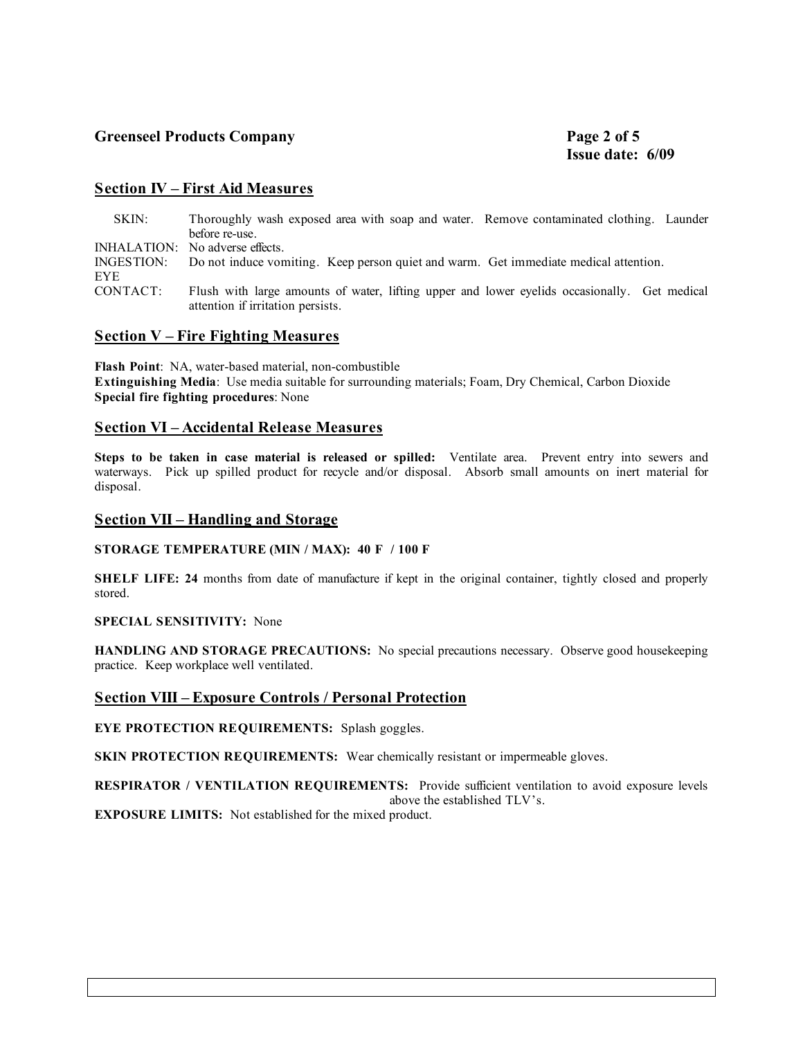## **Greenseel Products Company Page 2 of 5**

### **Section IV – First Aid Measures**

| SKIN:    | Thoroughly wash exposed area with soap and water. Remove contaminated clothing. Launder                                           |  |
|----------|-----------------------------------------------------------------------------------------------------------------------------------|--|
|          | before re-use.                                                                                                                    |  |
|          | INHALATION: No adverse effects.                                                                                                   |  |
| EYE.     | INGESTION: Do not induce vomiting. Keep person quiet and warm. Get immediate medical attention.                                   |  |
| CONTACT: | Flush with large amounts of water, lifting upper and lower eyelids occasionally. Get medical<br>attention if irritation persists. |  |

#### **Section V – Fire Fighting Measures**

**Flash Point**: NA, water-based material, non-combustible **Extinguishing Media**: Use media suitable for surrounding materials; Foam, Dry Chemical, Carbon Dioxide **Special fire fighting procedures**: None

#### **Section VI – Accidental Release Measures**

**Steps to be taken in case material is released or spilled:** Ventilate area. Prevent entry into sewers and waterways. Pick up spilled product for recycle and/or disposal. Absorb small amounts on inert material for disposal.

#### **Section VII – Handling and Storage**

**STORAGE TEMPERATURE (MIN / MAX): 40 F / 100 F**

**SHELF LIFE: 24** months from date of manufacture if kept in the original container, tightly closed and properly stored.

#### **SPECIAL SENSITIVITY:** None

**HANDLING AND STORAGE PRECAUTIONS:** No special precautions necessary. Observe good housekeeping practice. Keep workplace well ventilated.

#### **Section VIII – Exposure Controls / Personal Protection**

**EYE PROTECTION REQUIREMENTS:** Splash goggles.

**SKIN PROTECTION REQUIREMENTS:** Wear chemically resistant or impermeable gloves.

**RESPIRATOR / VENTILATION REQUIREMENTS:** Provide sufficient ventilation to avoid exposure levels above the established TLV's.

**EXPOSURE LIMITS:** Not established for the mixed product.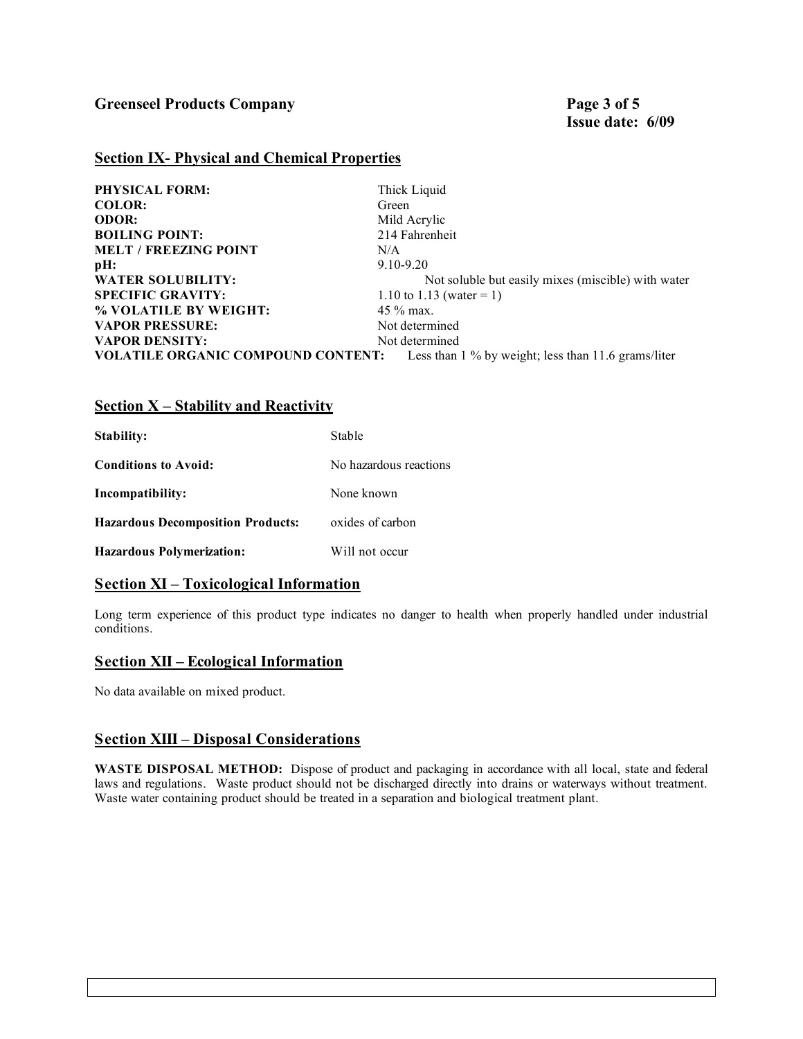### **Section IX- Physical and Chemical Properties**

| PHYSICAL FORM:                            | Thick Liquid                                        |
|-------------------------------------------|-----------------------------------------------------|
| <b>COLOR:</b>                             | Green                                               |
| <b>ODOR:</b>                              | Mild Acrylic                                        |
| <b>BOILING POINT:</b>                     | 214 Fahrenheit                                      |
| <b>MELT / FREEZING POINT</b>              | N/A                                                 |
| pH:                                       | $9.10 - 9.20$                                       |
| <b>WATER SOLUBILITY:</b>                  | Not soluble but easily mixes (miscible) with water  |
| <b>SPECIFIC GRAVITY:</b>                  | 1.10 to 1.13 (water = 1)                            |
| % VOLATILE BY WEIGHT:                     | $45\%$ max.                                         |
| <b>VAPOR PRESSURE:</b>                    | Not determined                                      |
| <b>VAPOR DENSITY:</b>                     | Not determined                                      |
| <b>VOLATILE ORGANIC COMPOUND CONTENT:</b> | Less than 1 % by weight; less than 11.6 grams/liter |

## **Section X – Stability and Reactivity**

| Stability:                               | Stable                 |
|------------------------------------------|------------------------|
| <b>Conditions to Avoid:</b>              | No hazardous reactions |
| Incompatibility:                         | None known             |
| <b>Hazardous Decomposition Products:</b> | oxides of carbon       |
| <b>Hazardous Polymerization:</b>         | Will not occur         |

## **Section XI – Toxicological Information**

Long term experience of this product type indicates no danger to health when properly handled under industrial conditions.

#### **Section XII – Ecological Information**

No data available on mixed product.

## **Section XIII – Disposal Considerations**

**WASTE DISPOSAL METHOD:** Dispose of product and packaging in accordance with all local, state and federal laws and regulations. Waste product should not be discharged directly into drains or waterways without treatment. Waste water containing product should be treated in a separation and biological treatment plant.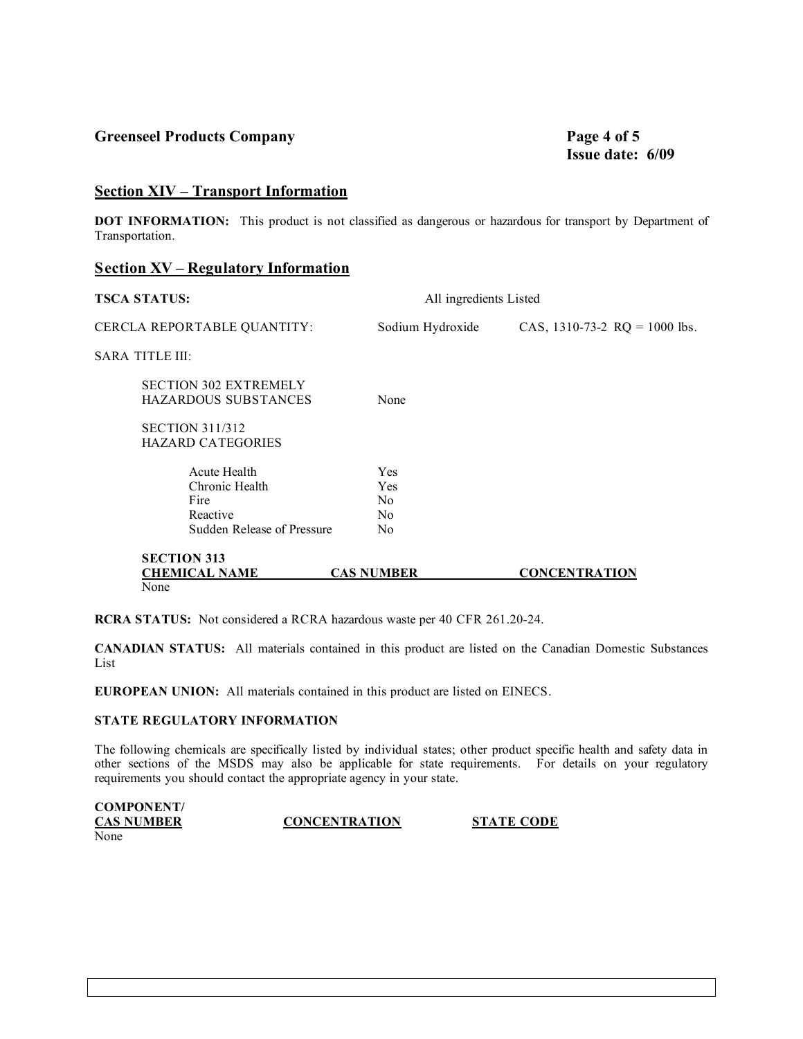## **Greenseel Products Company Page 4 of 5**

# **Issue date: 6/09**

## **Section XIV – Transport Information**

**DOT INFORMATION:** This product is not classified as dangerous or hazardous for transport by Department of Transportation.

### **Section XV – Regulatory Information**

| All ingredients Listed        |                   | <b>TSCA STATUS:</b>                                         |
|-------------------------------|-------------------|-------------------------------------------------------------|
| CAS, 1310-73-2 RQ = 1000 lbs. | Sodium Hydroxide  | CERCLA REPORTABLE QUANTITY:                                 |
|                               |                   | <b>SARA TITLE III:</b>                                      |
|                               | None              | <b>SECTION 302 EXTREMELY</b><br><b>HAZARDOUS SUBSTANCES</b> |
|                               |                   | <b>SECTION 311/312</b><br><b>HAZARD CATEGORIES</b>          |
|                               | <b>Yes</b>        | Acute Health                                                |
|                               | <b>Yes</b>        | Chronic Health                                              |
|                               | N <sub>0</sub>    | Fire                                                        |
|                               | N <sub>0</sub>    | Reactive                                                    |
|                               | N <sub>0</sub>    | Sudden Release of Pressure                                  |
|                               |                   | <b>SECTION 313</b>                                          |
| <b>CONCENTRATION</b>          | <b>CAS NUMBER</b> |                                                             |
|                               |                   | <b>CHEMICAL NAME</b><br>None                                |

**RCRA STATUS:** Not considered a RCRA hazardous waste per 40 CFR 261.20-24.

**CANADIAN STATUS:** All materials contained in this product are listed on the Canadian Domestic Substances List

**EUROPEAN UNION:** All materials contained in this product are listed on EINECS.

#### **STATE REGULATORY INFORMATION**

The following chemicals are specifically listed by individual states; other product specific health and safety data in other sections of the MSDS may also be applicable for state requirements. For details on your regulatory requirements you should contact the appropriate agency in your state.

| <b>COMPONENT/</b> |                      |                   |
|-------------------|----------------------|-------------------|
| <b>CAS NUMBER</b> | <b>CONCENTRATION</b> | <b>STATE CODE</b> |
| None              |                      |                   |